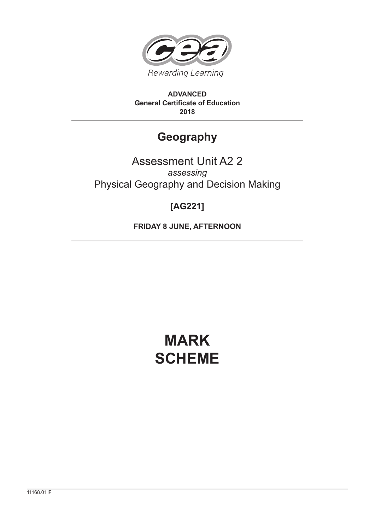

**ADVANCED General Certificate of Education 2018**

# **Geography**

# Assessment Unit A2 2 *assessing* Physical Geography and Decision Making

# **[AG221]**

**FRIDAY 8 JUNE, AFTERNOON**

# **MARK SCHEME**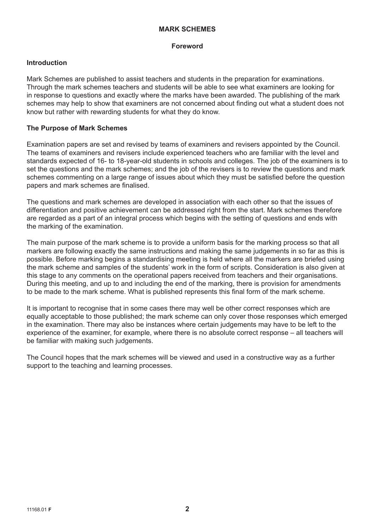# **MARK SCHEMES**

#### **Foreword**

# **Introduction**

Mark Schemes are published to assist teachers and students in the preparation for examinations. Through the mark schemes teachers and students will be able to see what examiners are looking for in response to questions and exactly where the marks have been awarded. The publishing of the mark schemes may help to show that examiners are not concerned about finding out what a student does not know but rather with rewarding students for what they do know.

# **The Purpose of Mark Schemes**

Examination papers are set and revised by teams of examiners and revisers appointed by the Council. The teams of examiners and revisers include experienced teachers who are familiar with the level and standards expected of 16- to 18-year-old students in schools and colleges. The job of the examiners is to set the questions and the mark schemes; and the job of the revisers is to review the questions and mark schemes commenting on a large range of issues about which they must be satisfied before the question papers and mark schemes are finalised.

The questions and mark schemes are developed in association with each other so that the issues of differentiation and positive achievement can be addressed right from the start. Mark schemes therefore are regarded as a part of an integral process which begins with the setting of questions and ends with the marking of the examination.

The main purpose of the mark scheme is to provide a uniform basis for the marking process so that all markers are following exactly the same instructions and making the same judgements in so far as this is possible. Before marking begins a standardising meeting is held where all the markers are briefed using the mark scheme and samples of the students' work in the form of scripts. Consideration is also given at this stage to any comments on the operational papers received from teachers and their organisations. During this meeting, and up to and including the end of the marking, there is provision for amendments to be made to the mark scheme. What is published represents this final form of the mark scheme.

It is important to recognise that in some cases there may well be other correct responses which are equally acceptable to those published; the mark scheme can only cover those responses which emerged in the examination. There may also be instances where certain judgements may have to be left to the experience of the examiner, for example, where there is no absolute correct response – all teachers will be familiar with making such judgements.

The Council hopes that the mark schemes will be viewed and used in a constructive way as a further support to the teaching and learning processes.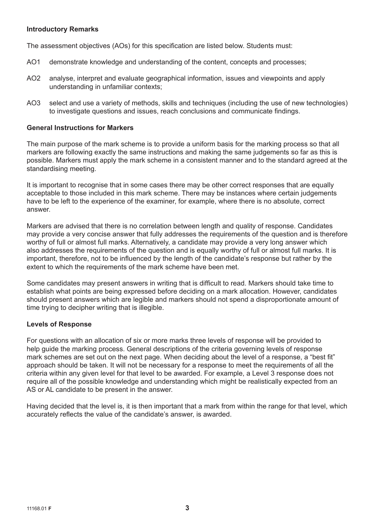# **Introductory Remarks**

The assessment objectives (AOs) for this specification are listed below. Students must:

- AO1 demonstrate knowledge and understanding of the content, concepts and processes;
- AO2 analyse, interpret and evaluate geographical information, issues and viewpoints and apply understanding in unfamiliar contexts;
- AO3 select and use a variety of methods, skills and techniques (including the use of new technologies) to investigate questions and issues, reach conclusions and communicate findings.

#### **General Instructions for Markers**

The main purpose of the mark scheme is to provide a uniform basis for the marking process so that all markers are following exactly the same instructions and making the same judgements so far as this is possible. Markers must apply the mark scheme in a consistent manner and to the standard agreed at the standardising meeting.

It is important to recognise that in some cases there may be other correct responses that are equally acceptable to those included in this mark scheme. There may be instances where certain judgements have to be left to the experience of the examiner, for example, where there is no absolute, correct answer.

Markers are advised that there is no correlation between length and quality of response. Candidates may provide a very concise answer that fully addresses the requirements of the question and is therefore worthy of full or almost full marks. Alternatively, a candidate may provide a very long answer which also addresses the requirements of the question and is equally worthy of full or almost full marks. It is important, therefore, not to be influenced by the length of the candidate's response but rather by the extent to which the requirements of the mark scheme have been met.

Some candidates may present answers in writing that is difficult to read. Markers should take time to establish what points are being expressed before deciding on a mark allocation. However, candidates should present answers which are legible and markers should not spend a disproportionate amount of time trying to decipher writing that is illegible.

#### **Levels of Response**

For questions with an allocation of six or more marks three levels of response will be provided to help guide the marking process. General descriptions of the criteria governing levels of response mark schemes are set out on the next page. When deciding about the level of a response, a "best fit" approach should be taken. It will not be necessary for a response to meet the requirements of all the criteria within any given level for that level to be awarded. For example, a Level 3 response does not require all of the possible knowledge and understanding which might be realistically expected from an AS or AL candidate to be present in the answer.

Having decided that the level is, it is then important that a mark from within the range for that level, which accurately reflects the value of the candidate's answer, is awarded.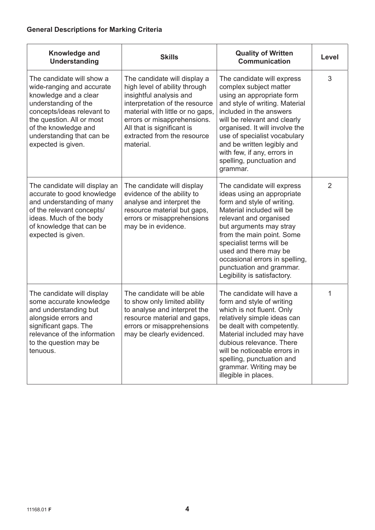# **General Descriptions for Marking Criteria**

| Knowledge and<br><b>Understanding</b>                                                                                                                                                                                                         | <b>Skills</b>                                                                                                                                                                                                                                                           | <b>Quality of Written</b><br><b>Communication</b>                                                                                                                                                                                                                                                                                                       | Level |
|-----------------------------------------------------------------------------------------------------------------------------------------------------------------------------------------------------------------------------------------------|-------------------------------------------------------------------------------------------------------------------------------------------------------------------------------------------------------------------------------------------------------------------------|---------------------------------------------------------------------------------------------------------------------------------------------------------------------------------------------------------------------------------------------------------------------------------------------------------------------------------------------------------|-------|
| The candidate will show a<br>wide-ranging and accurate<br>knowledge and a clear<br>understanding of the<br>concepts/ideas relevant to<br>the question. All or most<br>of the knowledge and<br>understanding that can be<br>expected is given. | The candidate will display a<br>high level of ability through<br>insightful analysis and<br>interpretation of the resource<br>material with little or no gaps,<br>errors or misapprehensions.<br>All that is significant is<br>extracted from the resource<br>material. | The candidate will express<br>complex subject matter<br>using an appropriate form<br>and style of writing. Material<br>included in the answers<br>will be relevant and clearly<br>organised. It will involve the<br>use of specialist vocabulary<br>and be written legibly and<br>with few, if any, errors in<br>spelling, punctuation and<br>grammar.  | 3     |
| The candidate will display an<br>accurate to good knowledge<br>and understanding of many<br>of the relevant concepts/<br>ideas. Much of the body<br>of knowledge that can be<br>expected is given.                                            | The candidate will display<br>evidence of the ability to<br>analyse and interpret the<br>resource material but gaps,<br>errors or misapprehensions<br>may be in evidence.                                                                                               | The candidate will express<br>ideas using an appropriate<br>form and style of writing.<br>Material included will be<br>relevant and organised<br>but arguments may stray<br>from the main point. Some<br>specialist terms will be<br>used and there may be<br>occasional errors in spelling,<br>punctuation and grammar.<br>Legibility is satisfactory. | 2     |
| The candidate will display<br>some accurate knowledge<br>and understanding but<br>alongside errors and<br>significant gaps. The<br>relevance of the information<br>to the question may be<br>tenuous.                                         | The candidate will be able<br>to show only limited ability<br>to analyse and interpret the<br>resource material and gaps,<br>errors or misapprehensions<br>may be clearly evidenced.                                                                                    | The candidate will have a<br>form and style of writing<br>which is not fluent. Only<br>relatively simple ideas can<br>be dealt with competently.<br>Material included may have<br>dubious relevance. There<br>will be noticeable errors in<br>spelling, punctuation and<br>grammar. Writing may be<br>illegible in places.                              | 1     |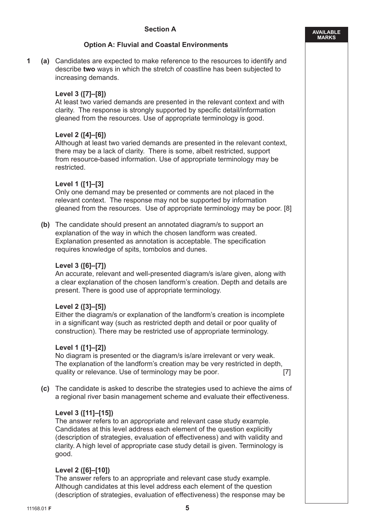**AVAILABLE MARKS**

# **Option A: Fluvial and Coastal Environments**

**1 (a)** Candidates are expected to make reference to the resources to identify and describe **two** ways in which the stretch of coastline has been subjected to increasing demands.

# **Level 3 ([7]–[8])**

At least two varied demands are presented in the relevant context and with clarity. The response is strongly supported by specific detail/information gleaned from the resources. Use of appropriate terminology is good.

# **Level 2 ([4]–[6])**

Although at least two varied demands are presented in the relevant context, there may be a lack of clarity. There is some, albeit restricted, support from resource-based information. Use of appropriate terminology may be restricted.

# **Level 1 ([1]–[3]**

Only one demand may be presented or comments are not placed in the relevant context. The response may not be supported by information gleaned from the resources. Use of appropriate terminology may be poor. [8]

**(b)** The candidate should present an annotated diagram/s to support an explanation of the way in which the chosen landform was created. Explanation presented as annotation is acceptable. The specification requires knowledge of spits, tombolos and dunes.

#### **Level 3 ([6]–[7])**

An accurate, relevant and well-presented diagram/s is/are given, along with a clear explanation of the chosen landform's creation. Depth and details are present. There is good use of appropriate terminology.

#### **Level 2 ([3]–[5])**

Either the diagram/s or explanation of the landform's creation is incomplete in a significant way (such as restricted depth and detail or poor quality of construction). There may be restricted use of appropriate terminology.

# **Level 1 ([1]–[2])**

No diagram is presented or the diagram/s is/are irrelevant or very weak. The explanation of the landform's creation may be very restricted in depth, quality or relevance. Use of terminology may be poor. [7]

**(c)** The candidate is asked to describe the strategies used to achieve the aims of a regional river basin management scheme and evaluate their effectiveness.

#### **Level 3 ([11]–[15])**

The answer refers to an appropriate and relevant case study example. Candidates at this level address each element of the question explicitly (description of strategies, evaluation of effectiveness) and with validity and clarity. A high level of appropriate case study detail is given. Terminology is good.

#### **Level 2 ([6]–[10])**

The answer refers to an appropriate and relevant case study example. Although candidates at this level address each element of the question (description of strategies, evaluation of effectiveness) the response may be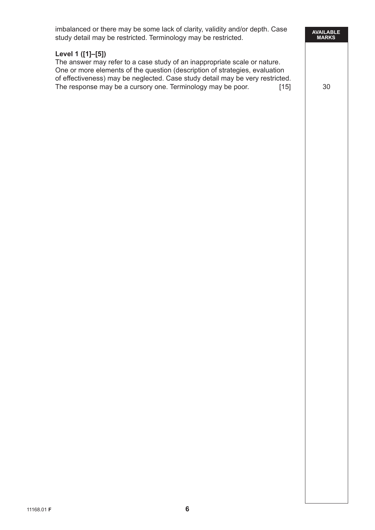| imbalanced or there may be some lack of clarity, validity and/or depth. Case<br>study detail may be restricted. Terminology may be restricted.                                                                                                                                                                                          | <b>AVAILABLE</b><br><b>MARKS</b> |  |
|-----------------------------------------------------------------------------------------------------------------------------------------------------------------------------------------------------------------------------------------------------------------------------------------------------------------------------------------|----------------------------------|--|
| Level 1 ([1]-[5])<br>The answer may refer to a case study of an inappropriate scale or nature.<br>One or more elements of the question (description of strategies, evaluation<br>of effectiveness) may be neglected. Case study detail may be very restricted.<br>The response may be a cursory one. Terminology may be poor.<br>$[15]$ | 30                               |  |
|                                                                                                                                                                                                                                                                                                                                         |                                  |  |
|                                                                                                                                                                                                                                                                                                                                         |                                  |  |
|                                                                                                                                                                                                                                                                                                                                         |                                  |  |
|                                                                                                                                                                                                                                                                                                                                         |                                  |  |
|                                                                                                                                                                                                                                                                                                                                         |                                  |  |
|                                                                                                                                                                                                                                                                                                                                         |                                  |  |
|                                                                                                                                                                                                                                                                                                                                         |                                  |  |
|                                                                                                                                                                                                                                                                                                                                         |                                  |  |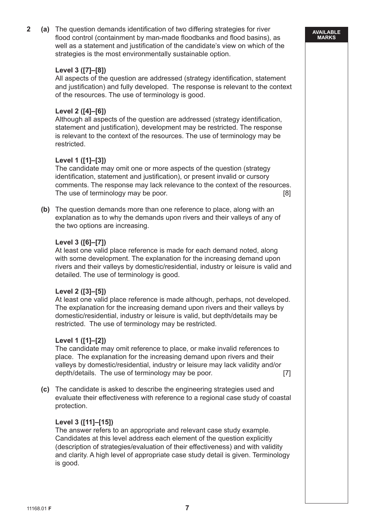**2 (a)** The question demands identification of two differing strategies for river flood control (containment by man-made floodbanks and flood basins), as well as a statement and justification of the candidate's view on which of the strategies is the most environmentally sustainable option.

# **Level 3 ([7]–[8])**

 All aspects of the question are addressed (strategy identification, statement and justification) and fully developed. The response is relevant to the context of the resources. The use of terminology is good.

# **Level 2 ([4]–[6])**

 Although all aspects of the question are addressed (strategy identification, statement and justification), development may be restricted. The response is relevant to the context of the resources. The use of terminology may be restricted.

# **Level 1 ([1]–[3])**

 The candidate may omit one or more aspects of the question (strategy identification, statement and justification), or present invalid or cursory comments. The response may lack relevance to the context of the resources. The use of terminology may be poor. [8]

**(b)** The question demands more than one reference to place, along with an explanation as to why the demands upon rivers and their valleys of any of the two options are increasing.

#### **Level 3 ([6]–[7])**

 At least one valid place reference is made for each demand noted, along with some development. The explanation for the increasing demand upon rivers and their valleys by domestic/residential, industry or leisure is valid and detailed. The use of terminology is good.

#### **Level 2 ([3]–[5])**

 At least one valid place reference is made although, perhaps, not developed. The explanation for the increasing demand upon rivers and their valleys by domestic/residential, industry or leisure is valid, but depth/details may be restricted. The use of terminology may be restricted.

#### **Level 1 ([1]–[2])**

 The candidate may omit reference to place, or make invalid references to place. The explanation for the increasing demand upon rivers and their valleys by domestic/residential, industry or leisure may lack validity and/or depth/details. The use of terminology may be poor. [7]

**(c)** The candidate is asked to describe the engineering strategies used and evaluate their effectiveness with reference to a regional case study of coastal protection.

#### **Level 3 ([11]–[15])**

 The answer refers to an appropriate and relevant case study example. Candidates at this level address each element of the question explicitly (description of strategies/evaluation of their effectiveness) and with validity and clarity. A high level of appropriate case study detail is given. Terminology is good.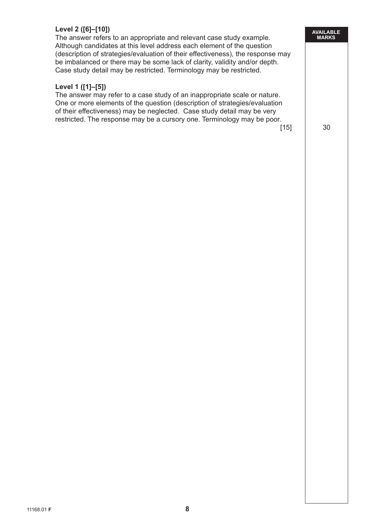# **Level 2 ([6]–[10])**

 The answer refers to an appropriate and relevant case study example. Although candidates at this level address each element of the question (description of strategies/evaluation of their effectiveness), the response may be imbalanced or there may be some lack of clarity, validity and/or depth. Case study detail may be restricted. Terminology may be restricted.

# **Level 1 ([1]–[5])**

 The answer may refer to a case study of an inappropriate scale or nature. One or more elements of the question (description of strategies/evaluation of their effectiveness) may be neglected. Case study detail may be very restricted. The response may be a cursory one. Terminology may be poor.

 $[15]$  30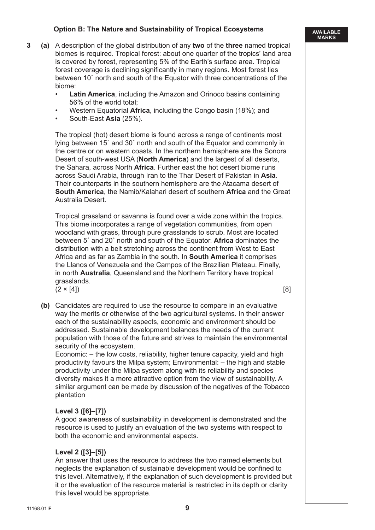# **Option B: The Nature and Sustainability of Tropical Ecosystems**

- **3 (a)** A description of the global distribution of any **two** of the **three** named tropical biomes is required. Tropical forest: about one quarter of the tropics' land area is covered by forest, representing 5% of the Earth's surface area. Tropical forest coverage is declining significantly in many regions. Most forest lies between 10˚ north and south of the Equator with three concentrations of the biome:
	- **Latin America**, including the Amazon and Orinoco basins containing 56% of the world total;
	- Western Equatorial **Africa**, including the Congo basin (18%); and
	- South-East **Asia** (25%).

 The tropical (hot) desert biome is found across a range of continents most lying between 15˚ and 30˚ north and south of the Equator and commonly in the centre or on western coasts. In the northern hemisphere are the Sonora Desert of south-west USA (**North America**) and the largest of all deserts, the Sahara, across North **Africa**. Further east the hot desert biome runs across Saudi Arabia, through Iran to the Thar Desert of Pakistan in **Asia**. Their counterparts in the southern hemisphere are the Atacama desert of **South America**, the Namib/Kalahari desert of southern **Africa** and the Great Australia Desert.

 Tropical grassland or savanna is found over a wide zone within the tropics. This biome incorporates a range of vegetation communities, from open woodland with grass, through pure grasslands to scrub. Most are located between 5˚ and 20˚ north and south of the Equator. **Africa** dominates the distribution with a belt stretching across the continent from West to East Africa and as far as Zambia in the south. In **South America** it comprises the Llanos of Venezuela and the Campos of the Brazilian Plateau. Finally, in north **Australia**, Queensland and the Northern Territory have tropical grasslands.  $(2 \times [4])$  [8]

**(b)** Candidates are required to use the resource to compare in an evaluative way the merits or otherwise of the two agricultural systems. In their answer each of the sustainability aspects, economic and environment should be addressed. Sustainable development balances the needs of the current population with those of the future and strives to maintain the environmental security of the ecosystem.

 Economic: – the low costs, reliability, higher tenure capacity, yield and high productivity favours the Milpa system; Environmental: – the high and stable productivity under the Milpa system along with its reliability and species diversity makes it a more attractive option from the view of sustainability. A similar argument can be made by discussion of the negatives of the Tobacco plantation

# **Level 3 ([6]–[7])**

 A good awareness of sustainability in development is demonstrated and the resource is used to justify an evaluation of the two systems with respect to both the economic and environmental aspects.

# **Level 2 ([3]–[5])**

 An answer that uses the resource to address the two named elements but neglects the explanation of sustainable development would be confined to this level. Alternatively, if the explanation of such development is provided but it or the evaluation of the resource material is restricted in its depth or clarity this level would be appropriate.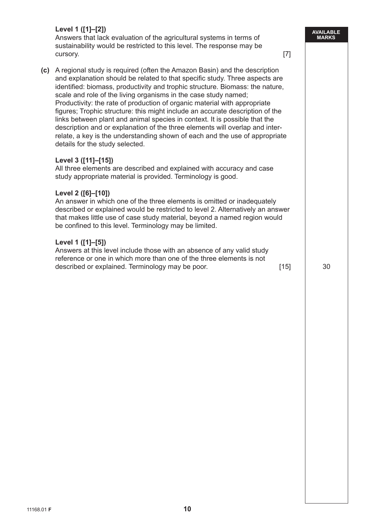# **Level 1 ([1]–[2])**

 Answers that lack evaluation of the agricultural systems in terms of sustainability would be restricted to this level. The response may be cursory. [7]

**(c)** A regional study is required (often the Amazon Basin) and the description and explanation should be related to that specific study. Three aspects are identified: biomass, productivity and trophic structure. Biomass: the nature, scale and role of the living organisms in the case study named; Productivity: the rate of production of organic material with appropriate figures; Trophic structure: this might include an accurate description of the links between plant and animal species in context. It is possible that the description and or explanation of the three elements will overlap and interrelate, a key is the understanding shown of each and the use of appropriate details for the study selected.

# **Level 3 ([11]–[15])**

 All three elements are described and explained with accuracy and case study appropriate material is provided. Terminology is good.

#### **Level 2 ([6]–[10])**

 An answer in which one of the three elements is omitted or inadequately described or explained would be restricted to level 2. Alternatively an answer that makes little use of case study material, beyond a named region would be confined to this level. Terminology may be limited.

#### **Level 1 ([1]–[5])**

 Answers at this level include those with an absence of any valid study reference or one in which more than one of the three elements is not described or explained. Terminology may be poor. [15] [15] 30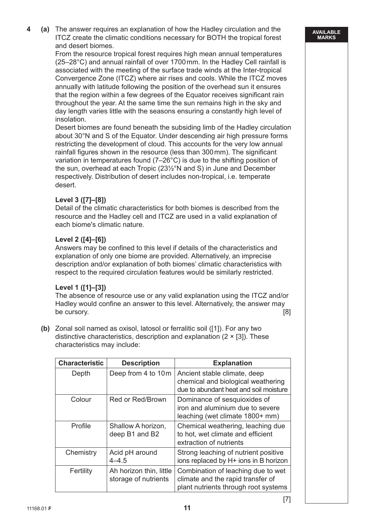**4 (a)** The answer requires an explanation of how the Hadley circulation and the ITCZ create the climatic conditions necessary for BOTH the tropical forest and desert biomes.

 From the resource tropical forest requires high mean annual temperatures (25–28°C) and annual rainfall of over 1700 mm. In the Hadley Cell rainfall is associated with the meeting of the surface trade winds at the Inter-tropical Convergence Zone (ITCZ) where air rises and cools. While the ITCZ moves annually with latitude following the position of the overhead sun it ensures that the region within a few degrees of the Equator receives significant rain throughout the year. At the same time the sun remains high in the sky and day length varies little with the seasons ensuring a constantly high level of insolation.

 Desert biomes are found beneath the subsiding limb of the Hadley circulation about 30°N and S of the Equator. Under descending air high pressure forms restricting the development of cloud. This accounts for the very low annual rainfall figures shown in the resource (less than 300 mm). The significant variation in temperatures found (7–26°C) is due to the shifting position of the sun, overhead at each Tropic (23½°N and S) in June and December respectively. Distribution of desert includes non-tropical, i.e. temperate desert.

# **Level 3 ([7]–[8])**

 Detail of the climatic characteristics for both biomes is described from the resource and the Hadley cell and ITCZ are used in a valid explanation of each biome's climatic nature.

# **Level 2 ([4]–[6])**

 Answers may be confined to this level if details of the characteristics and explanation of only one biome are provided. Alternatively, an imprecise description and/or explanation of both biomes' climatic characteristics with respect to the required circulation features would be similarly restricted.

# **Level 1 ([1]–[3])**

 The absence of resource use or any valid explanation using the ITCZ and/or Hadley would confine an answer to this level. Alternatively, the answer may be cursory. [8]

**(b)** Zonal soil named as oxisol, latosol or ferralitic soil ([1]). For any two distinctive characteristics, description and explanation  $(2 \times [3])$ . These characteristics may include:

| <b>Characteristic</b> | <b>Description</b>                              | <b>Explanation</b>                                                                                              |
|-----------------------|-------------------------------------------------|-----------------------------------------------------------------------------------------------------------------|
| Depth                 | Deep from 4 to 10 m                             | Ancient stable climate, deep<br>chemical and biological weathering<br>due to abundant heat and soil moisture    |
| Colour                | Red or Red/Brown                                | Dominance of sesquioxides of<br>iron and aluminium due to severe<br>leaching (wet climate 1800+ mm)             |
| Profile               | Shallow A horizon,<br>deep B1 and B2            | Chemical weathering, leaching due<br>to hot, wet climate and efficient<br>extraction of nutrients               |
| Chemistry             | Acid pH around<br>$4 - 4.5$                     | Strong leaching of nutrient positive<br>ions replaced by H+ ions in B horizon                                   |
| Fertility             | Ah horizon thin, little<br>storage of nutrients | Combination of leaching due to wet<br>climate and the rapid transfer of<br>plant nutrients through root systems |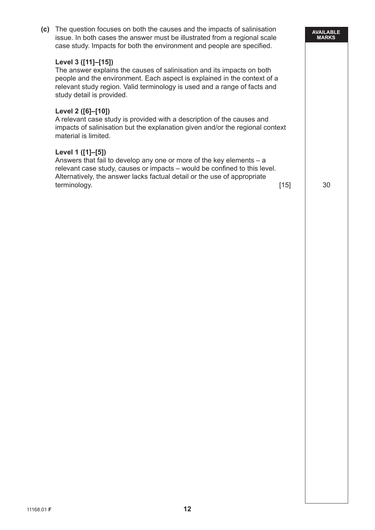| (c) | The question focuses on both the causes and the impacts of salinisation<br>issue. In both cases the answer must be illustrated from a regional scale<br>case study. Impacts for both the environment and people are specified.                                                      |        | <b>AVAILABLE</b><br><b>MARKS</b> |
|-----|-------------------------------------------------------------------------------------------------------------------------------------------------------------------------------------------------------------------------------------------------------------------------------------|--------|----------------------------------|
|     | Level 3 ([11]–[15])<br>The answer explains the causes of salinisation and its impacts on both<br>people and the environment. Each aspect is explained in the context of a<br>relevant study region. Valid terminology is used and a range of facts and<br>study detail is provided. |        |                                  |
|     | Level 2 ([6]-[10])<br>A relevant case study is provided with a description of the causes and<br>impacts of salinisation but the explanation given and/or the regional context<br>material is limited.                                                                               |        |                                  |
|     | Level 1 ([1]-[5])<br>Answers that fail to develop any one or more of the key elements $- a$<br>relevant case study, causes or impacts – would be confined to this level.<br>Alternatively, the answer lacks factual detail or the use of appropriate<br>terminology.                | $[15]$ | 30                               |
|     |                                                                                                                                                                                                                                                                                     |        |                                  |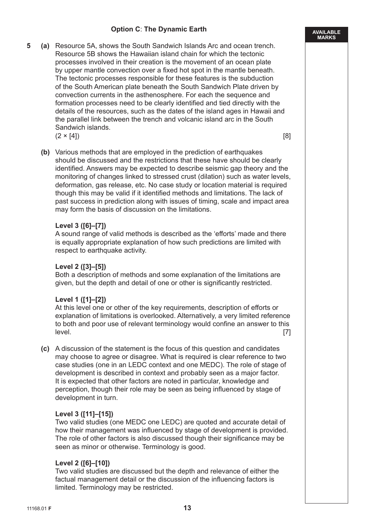# **Option C**: **The Dynamic Earth**

**AVAILABLE MARKS**

**5 (a)** Resource 5A, shows the South Sandwich Islands Arc and ocean trench. Resource 5B shows the Hawaiian island chain for which the tectonic processes involved in their creation is the movement of an ocean plate by upper mantle convection over a fixed hot spot in the mantle beneath. The tectonic processes responsible for these features is the subduction of the South American plate beneath the South Sandwich Plate driven by convection currents in the asthenosphere. For each the sequence and formation processes need to be clearly identified and tied directly with the details of the resources, such as the dates of the island ages in Hawaii and the parallel link between the trench and volcanic island arc in the South Sandwich islands.

 $(2 \times [4])$  [8]

**(b)** Various methods that are employed in the prediction of earthquakes should be discussed and the restrictions that these have should be clearly identified. Answers may be expected to describe seismic gap theory and the monitoring of changes linked to stressed crust (dilation) such as water levels, deformation, gas release, etc. No case study or location material is required though this may be valid if it identified methods and limitations. The lack of past success in prediction along with issues of timing, scale and impact area may form the basis of discussion on the limitations.

# **Level 3 ([6]–[7])**

 A sound range of valid methods is described as the 'efforts' made and there is equally appropriate explanation of how such predictions are limited with respect to earthquake activity.

# **Level 2 ([3]–[5])**

 Both a description of methods and some explanation of the limitations are given, but the depth and detail of one or other is significantly restricted.

#### **Level 1 ([1]–[2])**

 At this level one or other of the key requirements, description of efforts or explanation of limitations is overlooked. Alternatively, a very limited reference to both and poor use of relevant terminology would confine an answer to this level. [7]

**(c)** A discussion of the statement is the focus of this question and candidates may choose to agree or disagree. What is required is clear reference to two case studies (one in an LEDC context and one MEDC). The role of stage of development is described in context and probably seen as a major factor. It is expected that other factors are noted in particular, knowledge and perception, though their role may be seen as being influenced by stage of development in turn.

#### **Level 3 ([11]–[15])**

 Two valid studies (one MEDC one LEDC) are quoted and accurate detail of how their management was influenced by stage of development is provided. The role of other factors is also discussed though their significance may be seen as minor or otherwise. Terminology is good.

# **Level 2 ([6]–[10])**

 Two valid studies are discussed but the depth and relevance of either the factual management detail or the discussion of the influencing factors is limited. Terminology may be restricted.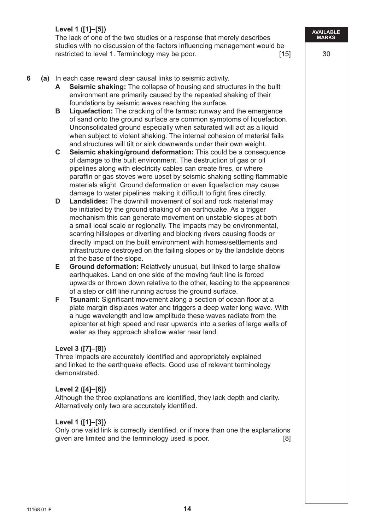The lack of one of the two studies or a response that merely describes studies with no discussion of the factors influencing management would be restricted to level 1. Terminology may be poor. [15] 30

- **6 (a)** In each case reward clear causal links to seismic activity.
	- **A Seismic shaking:** The collapse of housing and structures in the built environment are primarily caused by the repeated shaking of their foundations by seismic waves reaching the surface.
	- **B Liquefaction:** The cracking of the tarmac runway and the emergence of sand onto the ground surface are common symptoms of liquefaction. Unconsolidated ground especially when saturated will act as a liquid when subject to violent shaking. The internal cohesion of material fails and structures will tilt or sink downwards under their own weight.
	- **C Seismic shaking/ground deformation:** This could be a consequence of damage to the built environment. The destruction of gas or oil pipelines along with electricity cables can create fires, or where paraffin or gas stoves were upset by seismic shaking setting flammable materials alight. Ground deformation or even liquefaction may cause damage to water pipelines making it difficult to fight fires directly.
	- **D Landslides:** The downhill movement of soil and rock material may be initiated by the ground shaking of an earthquake. As a trigger mechanism this can generate movement on unstable slopes at both a small local scale or regionally. The impacts may be environmental, scarring hillslopes or diverting and blocking rivers causing floods or directly impact on the built environment with homes/settlements and infrastructure destroyed on the failing slopes or by the landslide debris at the base of the slope.
	- **E Ground deformation:** Relatively unusual, but linked to large shallow earthquakes. Land on one side of the moving fault line is forced upwards or thrown down relative to the other, leading to the appearance of a step or cliff line running across the ground surface.
	- **F** Tsunami: Significant movement along a section of ocean floor at a plate margin displaces water and triggers a deep water long wave. With a huge wavelength and low amplitude these waves radiate from the epicenter at high speed and rear upwards into a series of large walls of water as they approach shallow water near land.

# **Level 3 ([7]–[8])**

 Three impacts are accurately identified and appropriately explained and linked to the earthquake effects. Good use of relevant terminology demonstrated.

# **Level 2 ([4]–[6])**

 Although the three explanations are identified, they lack depth and clarity. Alternatively only two are accurately identified.

# **Level 1 ([1]–[3])**

 Only one valid link is correctly identified, or if more than one the explanations given are limited and the terminology used is poor. [8]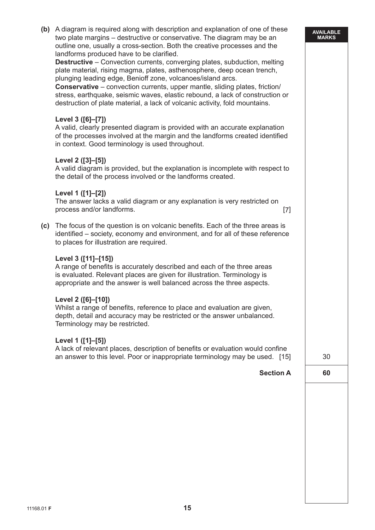| (c) | (b) A diagram is required along with description and explanation of one of these<br>two plate margins – destructive or conservative. The diagram may be an<br>outline one, usually a cross-section. Both the creative processes and the<br>landforms produced have to be clarified.<br><b>Destructive</b> – Convection currents, converging plates, subduction, melting<br>plate material, rising magma, plates, asthenosphere, deep ocean trench,<br>plunging leading edge, Benioff zone, volcanoes/island arcs.<br><b>Conservative</b> – convection currents, upper mantle, sliding plates, friction/<br>stress, earthquake, seismic waves, elastic rebound, a lack of construction or<br>destruction of plate material, a lack of volcanic activity, fold mountains.<br>Level 3 ([6]-[7])<br>A valid, clearly presented diagram is provided with an accurate explanation<br>of the processes involved at the margin and the landforms created identified<br>in context. Good terminology is used throughout.<br>Level 2 ([3]-[5])<br>A valid diagram is provided, but the explanation is incomplete with respect to<br>the detail of the process involved or the landforms created.<br>Level 1 ([1]-[2])<br>The answer lacks a valid diagram or any explanation is very restricted on<br>process and/or landforms.<br>$[7]$<br>The focus of the question is on volcanic benefits. Each of the three areas is<br>identified - society, economy and environment, and for all of these reference<br>to places for illustration are required.<br>Level 3 ([11]-[15])<br>A range of benefits is accurately described and each of the three areas<br>is evaluated. Relevant places are given for illustration. Terminology is<br>appropriate and the answer is well balanced across the three aspects.<br>Level 2 ([6]-[10])<br>Whilst a range of benefits, reference to place and evaluation are given<br>depth, detail and accuracy may be restricted or the answer unbalanced.<br>Terminology may be restricted.<br>Level 1 ([1]-[5]) | <b>AVAILABLE</b><br><b>MARKS</b> |
|-----|---------------------------------------------------------------------------------------------------------------------------------------------------------------------------------------------------------------------------------------------------------------------------------------------------------------------------------------------------------------------------------------------------------------------------------------------------------------------------------------------------------------------------------------------------------------------------------------------------------------------------------------------------------------------------------------------------------------------------------------------------------------------------------------------------------------------------------------------------------------------------------------------------------------------------------------------------------------------------------------------------------------------------------------------------------------------------------------------------------------------------------------------------------------------------------------------------------------------------------------------------------------------------------------------------------------------------------------------------------------------------------------------------------------------------------------------------------------------------------------------------------------------------------------------------------------------------------------------------------------------------------------------------------------------------------------------------------------------------------------------------------------------------------------------------------------------------------------------------------------------------------------------------------------------------------------------------------------------------------------------------------------------------------------|----------------------------------|
|     | A lack of relevant places, description of benefits or evaluation would confine<br>an answer to this level. Poor or inappropriate terminology may be used. [15]                                                                                                                                                                                                                                                                                                                                                                                                                                                                                                                                                                                                                                                                                                                                                                                                                                                                                                                                                                                                                                                                                                                                                                                                                                                                                                                                                                                                                                                                                                                                                                                                                                                                                                                                                                                                                                                                        | 30                               |
|     | <b>Section A</b>                                                                                                                                                                                                                                                                                                                                                                                                                                                                                                                                                                                                                                                                                                                                                                                                                                                                                                                                                                                                                                                                                                                                                                                                                                                                                                                                                                                                                                                                                                                                                                                                                                                                                                                                                                                                                                                                                                                                                                                                                      | 60                               |
|     |                                                                                                                                                                                                                                                                                                                                                                                                                                                                                                                                                                                                                                                                                                                                                                                                                                                                                                                                                                                                                                                                                                                                                                                                                                                                                                                                                                                                                                                                                                                                                                                                                                                                                                                                                                                                                                                                                                                                                                                                                                       |                                  |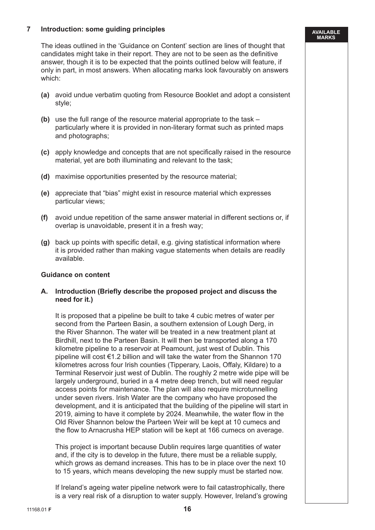# **7 Introduction: some guiding principles**

 The ideas outlined in the 'Guidance on Content' section are lines of thought that candidates might take in their report. They are not to be seen as the definitive answer, though it is to be expected that the points outlined below will feature, if only in part, in most answers. When allocating marks look favourably on answers which:

- **(a)** avoid undue verbatim quoting from Resource Booklet and adopt a consistent style;
- **(b)** use the full range of the resource material appropriate to the task particularly where it is provided in non-literary format such as printed maps and photographs;
- **(c)** apply knowledge and concepts that are not specifically raised in the resource material, yet are both illuminating and relevant to the task;
- **(d)** maximise opportunities presented by the resource material;
- **(e)** appreciate that "bias" might exist in resource material which expresses particular views;
- **(f)** avoid undue repetition of the same answer material in different sections or, if overlap is unavoidable, present it in a fresh way;
- **(g)** back up points with specific detail, e.g. giving statistical information where it is provided rather than making vague statements when details are readily available.

#### **Guidance on content**

 **A. Introduction (Briefly describe the proposed project and discuss the need for it.)**

 It is proposed that a pipeline be built to take 4 cubic metres of water per second from the Parteen Basin, a southern extension of Lough Derg, in the River Shannon. The water will be treated in a new treatment plant at Birdhill, next to the Parteen Basin. It will then be transported along a 170 kilometre pipeline to a reservoir at Peamount, just west of Dublin. This pipeline will cost €1.2 billion and will take the water from the Shannon 170 kilometres across four Irish counties (Tipperary, Laois, Offaly, Kildare) to a Terminal Reservoir just west of Dublin. The roughly 2 metre wide pipe will be largely underground, buried in a 4 metre deep trench, but will need regular access points for maintenance. The plan will also require microtunnelling under seven rivers. Irish Water are the company who have proposed the development, and it is anticipated that the building of the pipeline will start in 2019, aiming to have it complete by 2024. Meanwhile, the water flow in the Old River Shannon below the Parteen Weir will be kept at 10 cumecs and the flow to Arnacrusha HEP station will be kept at 166 cumecs on average.

 This project is important because Dublin requires large quantities of water and, if the city is to develop in the future, there must be a reliable supply, which grows as demand increases. This has to be in place over the next 10 to 15 years, which means developing the new supply must be started now.

 If Ireland's ageing water pipeline network were to fail catastrophically, there is a very real risk of a disruption to water supply. However, Ireland's growing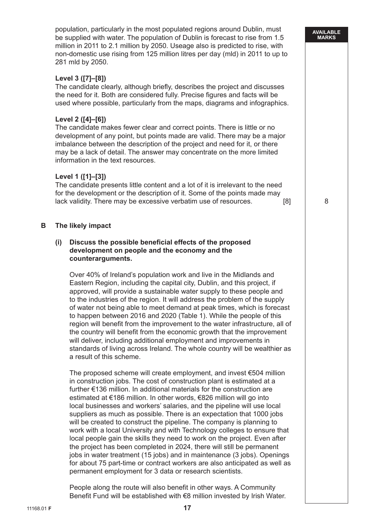population, particularly in the most populated regions around Dublin, must be supplied with water. The population of Dublin is forecast to rise from 1.5 million in 2011 to 2.1 million by 2050. Useage also is predicted to rise, with non-domestic use rising from 125 million litres per day (mld) in 2011 to up to 281 mld by 2050.

**AVAILABLE MARKS**

# **Level 3 ([7]–[8])**

 The candidate clearly, although briefly, describes the project and discusses the need for it. Both are considered fully. Precise figures and facts will be used where possible, particularly from the maps, diagrams and infographics.

# **Level 2 ([4]–[6])**

 The candidate makes fewer clear and correct points. There is little or no development of any point, but points made are valid. There may be a major imbalance between the description of the project and need for it, or there may be a lack of detail. The answer may concentrate on the more limited information in the text resources.

#### **Level 1 ([1]–[3])**

 The candidate presents little content and a lot of it is irrelevant to the need for the development or the description of it. Some of the points made may lack validity. There may be excessive verbatim use of resources.  $\qquad \qquad$  [8]  $\qquad \qquad$  8

# **B The likely impact**

#### **(i) Discuss the possible beneficial effects of the proposed development on people and the economy and the counterarguments.**

 Over 40% of Ireland's population work and live in the Midlands and Eastern Region, including the capital city, Dublin, and this project, if approved, will provide a sustainable water supply to these people and to the industries of the region. It will address the problem of the supply of water not being able to meet demand at peak times, which is forecast to happen between 2016 and 2020 (Table 1). While the people of this region will benefit from the improvement to the water infrastructure, all of the country will benefit from the economic growth that the improvement will deliver, including additional employment and improvements in standards of living across Ireland. The whole country will be wealthier as a result of this scheme.

 The proposed scheme will create employment, and invest €504 million in construction jobs. The cost of construction plant is estimated at a further €136 million. In additional materials for the construction are estimated at €186 million. In other words, €826 million will go into local businesses and workers' salaries, and the pipeline will use local suppliers as much as possible. There is an expectation that 1000 jobs will be created to construct the pipeline. The company is planning to work with a local University and with Technology colleges to ensure that local people gain the skills they need to work on the project. Even after the project has been completed in 2024, there will still be permanent jobs in water treatment (15 jobs) and in maintenance (3 jobs). Openings for about 75 part-time or contract workers are also anticipated as well as permanent employment for 3 data or research scientists.

 People along the route will also benefit in other ways. A Community Benefit Fund will be established with €8 million invested by Irish Water.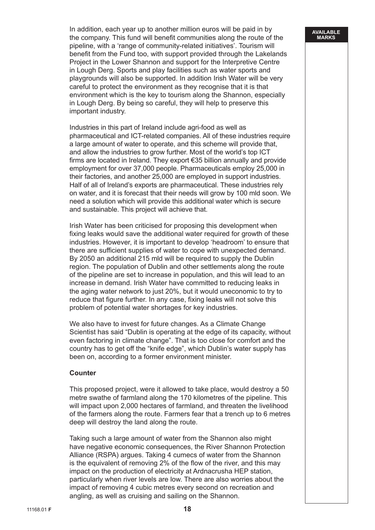In addition, each year up to another million euros will be paid in by the company. This fund will benefit communities along the route of the pipeline, with a 'range of community-related initiatives'. Tourism will benefit from the Fund too, with support provided through the Lakelands Project in the Lower Shannon and support for the Interpretive Centre in Lough Derg. Sports and play facilities such as water sports and playgrounds will also be supported. In addition Irish Water will be very careful to protect the environment as they recognise that it is that environment which is the key to tourism along the Shannon, especially in Lough Derg. By being so careful, they will help to preserve this important industry.

 Industries in this part of Ireland include agri-food as well as pharmaceutical and ICT-related companies. All of these industries require a large amount of water to operate, and this scheme will provide that, and allow the industries to grow further. Most of the world's top ICT firms are located in Ireland. They export €35 billion annually and provide employment for over 37,000 people. Pharmaceuticals employ 25,000 in their factories, and another 25,000 are employed in support industries. Half of all of Ireland's exports are pharmaceutical. These industries rely on water, and it is forecast that their needs will grow by 100 mld soon. We need a solution which will provide this additional water which is secure and sustainable. This project will achieve that.

 Irish Water has been criticised for proposing this development when fixing leaks would save the additional water required for growth of these industries. However, it is important to develop 'headroom' to ensure that there are sufficient supplies of water to cope with unexpected demand. By 2050 an additional 215 mld will be required to supply the Dublin region. The population of Dublin and other settlements along the route of the pipeline are set to increase in population, and this will lead to an increase in demand. Irish Water have committed to reducing leaks in the aging water network to just 20%, but it would uneconomic to try to reduce that figure further. In any case, fixing leaks will not solve this problem of potential water shortages for key industries.

 We also have to invest for future changes. As a Climate Change Scientist has said "Dublin is operating at the edge of its capacity, without even factoring in climate change". That is too close for comfort and the country has to get off the "knife edge", which Dublin's water supply has been on, according to a former environment minister.

#### **Counter**

 This proposed project, were it allowed to take place, would destroy a 50 metre swathe of farmland along the 170 kilometres of the pipeline. This will impact upon 2,000 hectares of farmland, and threaten the livelihood of the farmers along the route. Farmers fear that a trench up to 6 metres deep will destroy the land along the route.

 Taking such a large amount of water from the Shannon also might have negative economic consequences, the River Shannon Protection Alliance (RSPA) argues. Taking 4 cumecs of water from the Shannon is the equivalent of removing 2% of the flow of the river, and this may impact on the production of electricity at Ardnacrusha HEP station, particularly when river levels are low. There are also worries about the impact of removing 4 cubic metres every second on recreation and angling, as well as cruising and sailing on the Shannon.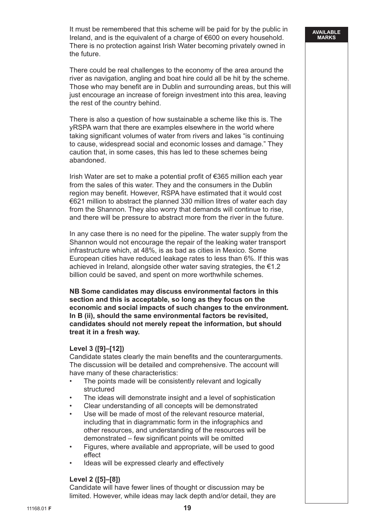It must be remembered that this scheme will be paid for by the public in Ireland, and is the equivalent of a charge of €600 on every household. There is no protection against Irish Water becoming privately owned in the future.

 There could be real challenges to the economy of the area around the river as navigation, angling and boat hire could all be hit by the scheme. Those who may benefit are in Dublin and surrounding areas, but this will just encourage an increase of foreign investment into this area, leaving the rest of the country behind.

 There is also a question of how sustainable a scheme like this is. The yRSPA warn that there are examples elsewhere in the world where taking significant volumes of water from rivers and lakes "is continuing to cause, widespread social and economic losses and damage." They caution that, in some cases, this has led to these schemes being abandoned.

 Irish Water are set to make a potential profit of €365 million each year from the sales of this water. They and the consumers in the Dublin region may benefit. However, RSPA have estimated that it would cost €621 million to abstract the planned 330 million litres of water each day from the Shannon. They also worry that demands will continue to rise, and there will be pressure to abstract more from the river in the future.

 In any case there is no need for the pipeline. The water supply from the Shannon would not encourage the repair of the leaking water transport infrastructure which, at 48%, is as bad as cities in Mexico. Some European cities have reduced leakage rates to less than 6%. If this was achieved in Ireland, alongside other water saving strategies, the €1.2 billion could be saved, and spent on more worthwhile schemes.

 **NB Some candidates may discuss environmental factors in this section and this is acceptable, so long as they focus on the economic and social impacts of such changes to the environment. In B (ii), should the same environmental factors be revisited, candidates should not merely repeat the information, but should treat it in a fresh way.**

#### **Level 3 ([9]–[12])**

 Candidate states clearly the main benefits and the counterarguments. The discussion will be detailed and comprehensive. The account will have many of these characteristics:

- The points made will be consistently relevant and logically structured
- The ideas will demonstrate insight and a level of sophistication
- Clear understanding of all concepts will be demonstrated
- Use will be made of most of the relevant resource material. including that in diagrammatic form in the infographics and other resources, and understanding of the resources will be demonstrated – few significant points will be omitted
- Figures, where available and appropriate, will be used to good effect
- Ideas will be expressed clearly and effectively

#### **Level 2 ([5]–[8])**

 Candidate will have fewer lines of thought or discussion may be limited. However, while ideas may lack depth and/or detail, they are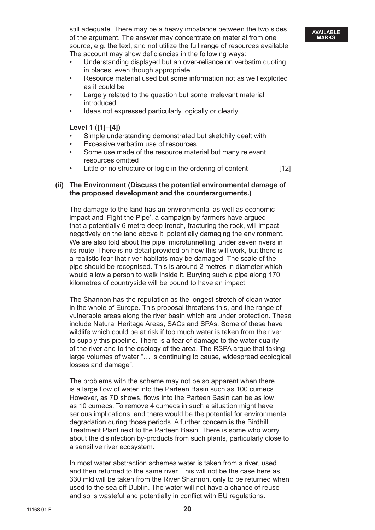still adequate. There may be a heavy imbalance between the two sides of the argument. The answer may concentrate on material from one source, e.g. the text, and not utilize the full range of resources available. The account may show deficiencies in the following ways:

- Understanding displayed but an over-reliance on verbatim quoting in places, even though appropriate
- Resource material used but some information not as well exploited as it could be
- Largely related to the question but some irrelevant material introduced
- Ideas not expressed particularly logically or clearly

# **Level 1 ([1]–[4])**

- Simple understanding demonstrated but sketchily dealt with
- Excessive verbatim use of resources
- Some use made of the resource material but many relevant resources omitted
- Little or no structure or logic in the ordering of content [12]

#### **(ii) The Environment (Discuss the potential environmental damage of the proposed development and the counterarguments.)**

 The damage to the land has an environmental as well as economic impact and 'Fight the Pipe', a campaign by farmers have argued that a potentially 6 metre deep trench, fracturing the rock, will impact negatively on the land above it, potentially damaging the environment. We are also told about the pipe 'microtunnelling' under seven rivers in its route. There is no detail provided on how this will work, but there is a realistic fear that river habitats may be damaged. The scale of the pipe should be recognised. This is around 2 metres in diameter which would allow a person to walk inside it. Burying such a pipe along 170 kilometres of countryside will be bound to have an impact.

 The Shannon has the reputation as the longest stretch of clean water in the whole of Europe. This proposal threatens this, and the range of vulnerable areas along the river basin which are under protection. These include Natural Heritage Areas, SACs and SPAs. Some of these have wildlife which could be at risk if too much water is taken from the river to supply this pipeline. There is a fear of damage to the water quality of the river and to the ecology of the area. The RSPA argue that taking large volumes of water "… is continuing to cause, widespread ecological losses and damage".

 The problems with the scheme may not be so apparent when there is a large flow of water into the Parteen Basin such as 100 cumecs. However, as 7D shows, flows into the Parteen Basin can be as low as 10 cumecs. To remove 4 cumecs in such a situation might have serious implications, and there would be the potential for environmental degradation during those periods. A further concern is the Birdhill Treatment Plant next to the Parteen Basin. There is some who worry about the disinfection by-products from such plants, particularly close to a sensitive river ecosystem.

 In most water abstraction schemes water is taken from a river, used and then returned to the same river. This will not be the case here as 330 mld will be taken from the River Shannon, only to be returned when used to the sea off Dublin. The water will not have a chance of reuse and so is wasteful and potentially in conflict with EU regulations.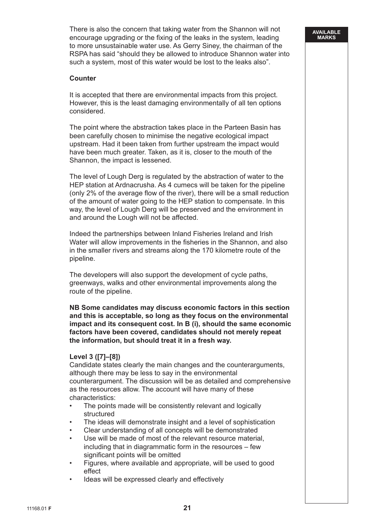There is also the concern that taking water from the Shannon will not encourage upgrading or the fixing of the leaks in the system, leading to more unsustainable water use. As Gerry Siney, the chairman of the RSPA has said "should they be allowed to introduce Shannon water into such a system, most of this water would be lost to the leaks also".

**AVAILABLE MARKS**

# **Counter**

 It is accepted that there are environmental impacts from this project. However, this is the least damaging environmentally of all ten options considered.

 The point where the abstraction takes place in the Parteen Basin has been carefully chosen to minimise the negative ecological impact upstream. Had it been taken from further upstream the impact would have been much greater. Taken, as it is, closer to the mouth of the Shannon, the impact is lessened.

 The level of Lough Derg is regulated by the abstraction of water to the HEP station at Ardnacrusha. As 4 cumecs will be taken for the pipeline (only 2% of the average flow of the river), there will be a small reduction of the amount of water going to the HEP station to compensate. In this way, the level of Lough Derg will be preserved and the environment in and around the Lough will not be affected.

 Indeed the partnerships between Inland Fisheries Ireland and Irish Water will allow improvements in the fisheries in the Shannon, and also in the smaller rivers and streams along the 170 kilometre route of the pipeline.

 The developers will also support the development of cycle paths, greenways, walks and other environmental improvements along the route of the pipeline.

 **NB Some candidates may discuss economic factors in this section and this is acceptable, so long as they focus on the environmental impact and its consequent cost. In B (i), should the same economic factors have been covered, candidates should not merely repeat the information, but should treat it in a fresh way.**

# **Level 3 ([7]–[8])**

 Candidate states clearly the main changes and the counterarguments, although there may be less to say in the environmental counterargument. The discussion will be as detailed and comprehensive as the resources allow. The account will have many of these characteristics:

- The points made will be consistently relevant and logically structured
- The ideas will demonstrate insight and a level of sophistication
- Clear understanding of all concepts will be demonstrated
- Use will be made of most of the relevant resource material. including that in diagrammatic form in the resources – few significant points will be omitted
- Figures, where available and appropriate, will be used to good effect
- Ideas will be expressed clearly and effectively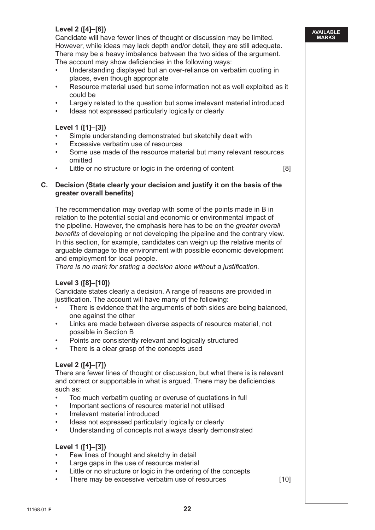# **Level 2 ([4]–[6])**

 Candidate will have fewer lines of thought or discussion may be limited. However, while ideas may lack depth and/or detail, they are still adequate. There may be a heavy imbalance between the two sides of the argument. The account may show deficiencies in the following ways:

**AVAILABLE MARKS**

- Understanding displayed but an over-reliance on verbatim quoting in places, even though appropriate
- Resource material used but some information not as well exploited as it could be
- Largely related to the question but some irrelevant material introduced
- Ideas not expressed particularly logically or clearly

# **Level 1 ([1]–[3])**

- Simple understanding demonstrated but sketchily dealt with
- Excessive verbatim use of resources
- Some use made of the resource material but many relevant resources omitted
- Little or no structure or logic in the ordering of content [8]

#### **C. Decision (State clearly your decision and justify it on the basis of the greater overall benefits)**

 The recommendation may overlap with some of the points made in B in relation to the potential social and economic or environmental impact of the pipeline. However, the emphasis here has to be on the *greater overall benefits* of developing or not developing the pipeline and the contrary view. In this section, for example, candidates can weigh up the relative merits of arguable damage to the environment with possible economic development and employment for local people.

 *There is no mark for stating a decision alone without a justification.*

# **Level 3 ([8]–[10])**

 Candidate states clearly a decision. A range of reasons are provided in justification. The account will have many of the following:

- There is evidence that the arguments of both sides are being balanced, one against the other
- Links are made between diverse aspects of resource material, not possible in Section B
- Points are consistently relevant and logically structured
- There is a clear grasp of the concepts used

# **Level 2 ([4]–[7])**

 There are fewer lines of thought or discussion, but what there is is relevant and correct or supportable in what is argued. There may be deficiencies such as:

- Too much verbatim quoting or overuse of quotations in full
- Important sections of resource material not utilised
- Irrelevant material introduced
- Ideas not expressed particularly logically or clearly
- Understanding of concepts not always clearly demonstrated

# **Level 1 ([1]–[3])**

- Few lines of thought and sketchy in detail
- Large gaps in the use of resource material
- Little or no structure or logic in the ordering of the concepts
- There may be excessive verbatim use of resources [10]